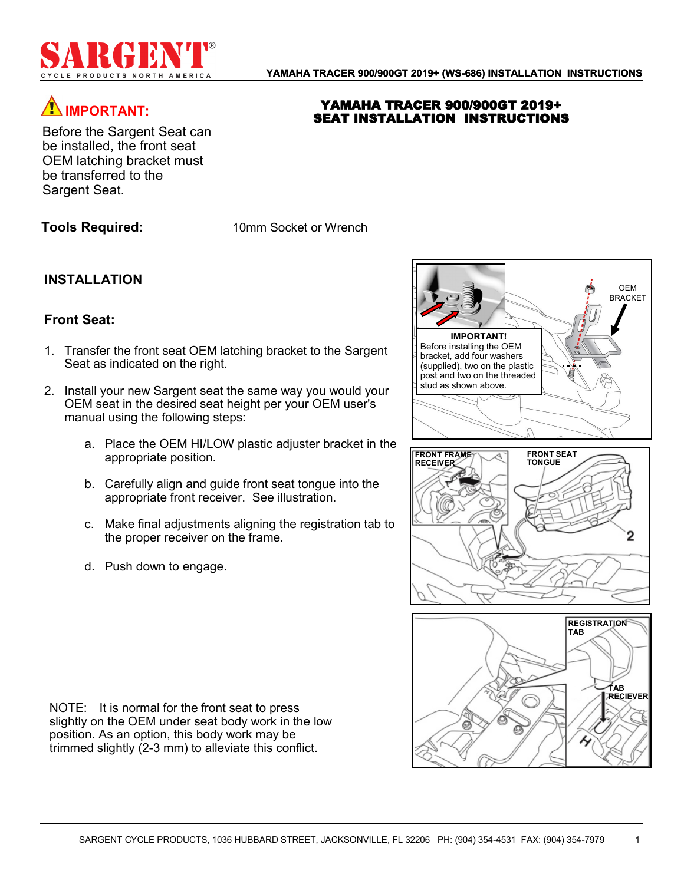

YAMAHA TRACER 900/900GT 2019+ SEAT INSTALLATION INSTRUCTIONS

# **IMPORTANT:**

Before the Sargent Seat can be installed, the front seat OEM latching bracket must be transferred to the Sargent Seat.

**Tools Required:** 10mm Socket or Wrench

## **INSTALLATION**

### **Front Seat:**

- 1. Transfer the front seat OEM latching bracket to the Sargent Seat as indicated on the right.
- 2. Install your new Sargent seat the same way you would your OEM seat in the desired seat height per your OEM user's manual using the following steps:
	- a. Place the OEM HI/LOW plastic adjuster bracket in the appropriate position.
	- b. Carefully align and guide front seat tongue into the appropriate front receiver. See illustration.
	- c. Make final adjustments aligning the registration tab to the proper receiver on the frame.
	- d. Push down to engage.

NOTE: It is normal for the front seat to press slightly on the OEM under seat body work in the low position. As an option, this body work may be trimmed slightly (2-3 mm) to alleviate this conflict.